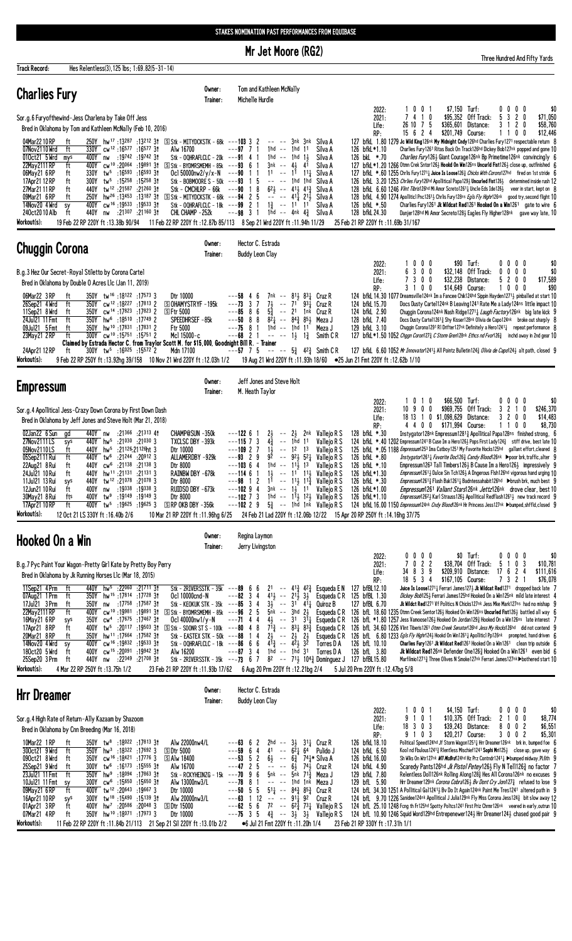Mr Jet Moore (RG2)

**Track Record:** Hes Relentless(3), 125 lbs; 1:69.82(5-31-14) Tom and Kathleen McNally Owner: **Charlies Fury** Trainer: Michelle Hurdle  $\begin{array}{ccc} 0 & 0 & 1 \\ 4 & 1 & 0 \end{array}$ \$7,150 Turf:<br>\$95,352 Off Track:  $\begin{smallmatrix}0\\5\end{smallmatrix}$  $\begin{array}{ccc} 0 & 0 & 0 \\ 3 & 2 & 0 \end{array}$  $$0$ <br>\$71,050 2022:  $\frac{1}{7}$ Sor.g.6 Furyofthewind-Jess Charlena by Take Off Jess  $2021:$  $\begin{array}{cccc} 26 & 10 & 7 & 5 \\ 15 & 6 & 2 & 4 \end{array}$  $\mathbf{0}$ Life: \$365,601 Distance: 3  $\pmb{\mathsf{1}}$ \$58,760 Bred in Oklahoma by Tom and Kathleen McNally (Feb 10, 2016) \$201.749 Course:  $1 \quad 0 \quad 0$ RP.  $\mathbf{1}$ \$12,446 250Y hw<sup>17</sup>:13<sup>287</sup>:13<sup>212</sup> 31 SStk-MITYDCKSTK-68k ---**103** 3<br>330Y cw<sup>12</sup>:16<sup>577</sup>:16<sup>577</sup> 31 Alw16700 ---**97** 7 127 bfkl. 1.80 1279 Je Wild King 126 ik My Midnight Charly 127 heart 1.80 1279 Je Wild King 126 ik My Midnight Charly 126 in Charlies Fury 127 i respect<br>126 bfkl. \* 1.10 Charlies Fury 126 Ritas Back On Track 126 in Obtey B 04Mar2210RP -- --<br>1hd --3nk<br>1hd  $3nk$ <br>11 ft  $\frac{2}{1}$ Silva A e return  $-w^{12}:10^{207}$ 330Y<br>400Y 07Nov2110 Wrd f  $---97$ Silva A Charlies Fury 1261 Ritas Back On Track 126hd Dickey Bob127nk popped and gone 10  $\frac{1}{4}$  $\mathbb{Z}^2$  $int$  $*70$ 010ct21 5 Wrd mys<br>22May2111 RP ft  $:19742$  $:19742$  31 Stk - OQHRAFLCLC - 20k  $1<sub>hd</sub>$ 126 bkL Charlies Fury1261 Giant Courage126nk Bp Primetime126nk convincingly -91  $\frac{11}{41}$ nw  $\overline{1}$ Silva A 6  $cw^{10}$  : 20064  $\frac{41}{11}$ 127 bfkL \*1.20 1266 0tml Crek Shtor1263 Hookd On Nin126ns Uncurld Fist1263 close up, outfinished<br>127 bfkL \*1.20 1266 0tml Crek Shtor1263 Hookd On Nin126ns Uncurld Fist1263 close up, outfinished **ANOX**  $-19891$  31 S Stk - BYDMRSMEMH - 85k  $--93$  $6 \overline{6}$  $\overline{1}$  $3nk$  $\sim$   $\sim$ Silva A -ĥ  $\ddot{\phantom{a}}$  $:16593$  $:16593$  31  $--90$  $\tilde{1}$ <sup>1</sup>  $1^{\frac{2}{1}}$   $1^{\frac{1}{4}}$ <br>  $1^{\frac{1}{4}}$   $1^{\frac{1}{4}}$ <br>  $4^{\frac{1}{2}}$   $4^{\frac{3}{4}}$ 06May21 6 RP  $tw^5$ ft 330Y Ocl 50000nw2/y/x-N  $\overline{\phantom{a}}$  $\mathbf{1}$ Silva A -6 17Apr21 12 RP<br>27Mar21 11 RP Stk - BOBMOORE S - 50<br>Stk - CMCHLRP - 66k  $\frac{1}{2}$  $\frac{1}{10}$ 126 bfkl. 3.20 1253 Chriles Furyl 26th Apollitical Papa1293 Uncurled Fist1263 determined inside rush 12<br>126 bfkl. 3.20 1253 Chriles Furyl 26th Apollitical Papa1293 Uncurled Fist1263 determined inside rush 12<br>128 bfkl. 6.60  $.15258$  31  $\frac{1}{1}$  $\frac{5}{8}$ ft 300Y  ${\rm tw}^5$  $.15258$  $-50k$ -93 Silva A  $\frac{1}{2}$ 440Y  $:21587$  $:21^{260}31$  $6^{21}$ ft -90 Silva A Stk - MITYDCKSTK - 68k<br>Stk - 0QHRAFLCLC - 18k 09Mar21 6 RP 250Y  $:13187$  31  $\frac{5}{1}$  $2^{11/2}$ <br>11 126 bfkL 4.90 1274 Apolitici Phc 26<sup>1</sup> & Chris Fury 128<sup>ns</sup> *Egls Fly High* 126<sup>nk</sup> good try, second flight 10<br>126 bfkL 4.90 1274 Apolitici Phc 26<sup>1</sup> & Chris Fury 128<sup>ns</sup> *Egls Fly High* 126<sup>nk</sup> good try, second flight 10 hw<sup>26</sup>:13453  $\sim$  $-94$  $\ddot{\phantom{a}}$  $4^{11}$  $\begin{array}{c} 2 \\ 2 \\ 3 \end{array}$ Silva A fl  $\frac{1\frac{3}{4}}{1}$ hd  $\frac{100}{2}$  19533  $.19533$  31  $---99$  $\ddotsc$  $11$ Silva A sy<br>ft 240ct20 10 Alb 440Y  $:21307$  $:211603t$ CHL CHAMP -252k  $--98$  $\mathbf{i}$  $\mathbf{L}$  $4nk$   $4\frac{3}{4}$ 128 bfkL 24.30 Danjer128hd Mi Amor Secreto128} Eagles Fly Higher128nk gave way late, 10 nw Silva A 19 Feb 22 RP 220Y ft: 13.38b 90/94 11 Feb 22 RP 220Y ft: 12.87b 85/113 8 Sep 21 Wrd 220Y ft: 11.94h 11/29 25 Feb 21 RP 220Y ft: 11.69b 31/167 Workout(s): Owner: Hector C. Estrada **Chuggin Corona** Trainer: **Buddy Leon Clay**  $\pmb{0}$  $2022:$  $\mathbf{0}$  $\mathbf{0}$ \$90 Turf:  $\mathbf{0}$  $\mathbf{0}$  $\mathbf{0}$  $\mathbf{0}$ \$0 2021:<br>2021:<br>Life:  $\begin{array}{cccc} 3 & 0 & 0 \\ 3 & 0 & 0 \\ 3 & 0 & 0 \end{array}$  $\begin{matrix}0&0\\0&0\\2&0\end{matrix}$  $\begin{array}{c} 6 \\ 7 \end{array}$  $\begin{smallmatrix}0\\5\end{smallmatrix}$ B.g.3 Hez Our Secret-Royal Stiletto by Corona Cartel \$32 148 Off Track. 0 \$Ū  $$32,238$ Distance:  $\mathfrak{g}$ \$17,589 Bred in Oklahoma by Double O Acres Llc (Jan 11, 2019) Course:  $\mathbf{3}$  $\overline{1}$  $0<sub>0</sub>$ \$14,649  $\mathbf{1}$  $0\quad 0\quad 0$  $\frac{1}{3}$ RP:  $.17573.3$ 124 bfkl 14.30 1077 Dreamsville124nk Im a Fancee Chik124hd Sippin Hayden12713 pinballed at start 10 tw<sup>16</sup>:18122 06Mar22 3 RP<br>26Sep21 4 Wrd 350Y<br>350Y Dtr 10000  $-58$  $\begin{array}{c} 4 \\ 3 \end{array}$  $\begin{matrix} 6 \\ 7 \end{matrix}$ 7nk Cruz R  $7\frac{1}{2}$ <br> $5\frac{3}{4}$ <br> $8\frac{3}{4}$ <br> $1\frac{1}{4}$  $\frac{1}{16}$  $\overline{\text{cw}}^{12}$  : 18227  $:17813$  2 SOHAMYSTRYF-195k  $--73$ 124 bfkL 15.70 Docs Dusty Cartel124nk B Leaving1241 Rate Me a Lady124ns little impact 10 Cruz R  $CW^{14} : 17823$ 11Sep21 8 Wrd<br>24 Jul 21 11 Fmt 350Y<br>350Y  $:17823$  2 124 bfkL 2.90<br>128 bfkL 7.40 Chuggin Corona124nk Nash Ridge12711 Laugh Factory126nk big late kick 9 **SFtr 5000**  $\begin{array}{c} 6 \\ 8 \\ 1 \end{array}$ Cruz R ft  $:17749$  $\frac{10000}{3500}$  hw<sup>6</sup>:18510<br>350Y hw<sup>10</sup>:17831  $:18510$  $\frac{1}{16}$ Dinggin out of the 112614 Nugular According to the Capability Chuggin Coronal 1291 RI Drifter 127nk Divid de Capo 124nk broke out sharply Chuggin Coronal 1291 RI Drifter 127nk Definitely a Hero 1241 $\frac{1}{4}$  repeat perform Meza J  $:17831$  2 09.lul21 5 Fmt ft Meza J 129 bfkl 3.10 R  $\begin{array}{c|c|c|c|c} \hline \text{it} & 3001 & \text{in} & 1000 \\ \hline \text{ft} & 300Y & \text{c}W^{10} & 15751 & 15751 \\ \text{Claimed by Estrada Hector C. from Traylor} \end{array}$ 127 bfkL \*1.50 1052 Chggn Coron1273 C Storm Gren128nk Ethcs nd Fvor1263 inchd away in 2nd gear 10 23May 21 2 RP  $1\frac{1}{2}$  $1\frac{3}{4}$ Smith C<sub>R</sub> **Trainer** 24Apr21 12 RP  $:16025$  :15572  $7<sub>5</sub>$  $5\frac{3}{4}$  $4<sup>2</sup>$  Smith C R 127 bfkl. 6.60 1052 Mr Innovator12412 All Pointz Bulletin1243 Olivia de Capo1242 alt path, closed 9 ft 300Y tw<sup>5</sup> Workout(s): 9 Feb 22 RP 250Y ft : 13.92hg 39/158 10 Nov 21 Wrd 220Y ft : 12.03h 1/2 19 Aug 21 Wrd 220Y ft: 11.93h 18/60 •25 Jun 21 Fmt 220Y ft: 12.62b 1/10  $0$ wner · Jeff Jones and Steve Holt **Empressum** Trainer: M. Heath Taylor  $1010$ <br> $10900$ \$66,500 Turf  $\mathbf{0}$  $\pmb{0}$  $\pmb{0}$  $\pmb{0}$ 2022 \$246.370 \$969.755 Off Track:  $2 \t1 \t0$ Sor.g.4 Apollitical Jess-Crazy Down Corona by First Down Dash  $2021 \overline{3}$  $\begin{array}{cccc} 3 & 2 & 0 & 0 \\ 1 & 1 & 0 & 0 \end{array}$  $\overline{1}$  $0$  \$1,098,629  $Life:$ 18 13 Distance: \$14,483 Bred in Oklahoma by Jeff Jones and Steve Holt (Mar 21, 2018) RD. 4 4 0 0 \$171.994 Course: \$8 730 440Y  $:21366 :21313 41$  $2\frac{1}{2}$ <br>1hd<br>12 128 bfkL \*.30 02. lan22 6 Sun CHAMP@SUN -350k  $---1226$ Vallejo R S Instygator128nk Empressum12813 Apollitical Papa128ns finished strong, 6  $n \mathsf{w}$  $\overline{1}$  $2<sup>1</sup>$  $2nk$ ac  $h^{11}$ <br>hw<sup>5</sup>  $:21^{030}$   $:21^{030}$  3<br>:21030 :21030 3  $- -115$ <br>  $- -109$ <br>  $- -93$ <br>
2  $\begin{bmatrix} 1 \\ 1 \\ 2 \\ 3 \end{bmatrix}$ 124 bfkL \*.40 1202 Empressum 1241 B Cuse Im a Herol 263 Pops First Lady 1243 stiff drive, best late 10<br>125 bfkL \*.40 1202 Empressum 1241 B Cuse Im a Herol 263 Pops First Lady 1243 stiff drive, best late 10 27Nov2111LS 440Y TXCLSC DBY -393k  $\frac{1}{1}$ <br>13 Vallejo R S  $\frac{3}{7}$  $4\frac{5}{4}$ <br> $1\frac{1}{2}$ <br> $9\frac{2}{4}$ sy:<br>ft 440Y 05Nov2110LS Dtr 10000 Valleio R S  $921$ <br> $11\frac{1}{2}$ <br> $11$  $\frac{1}{1^3}$ **440Y** 05Sep2111 Rui  $tw<sup>6</sup>$  $:21244$  $:20912$  3 ALLAMERDBY -929k  $\begin{array}{c} 9 \\ 4 \\ 1 \end{array}$ Vallejo R S 126 bfkL \*.80 Instygator1261<sub>4</sub> Favorite Doc126<sub>4</sub> Candy Blood126nk Ppoor brk, traffic, alter 9 22Aug21 8 Rui<br>24Jul21 10 Rui  $:21138$  $:211383$  $\bar{\mathbb{Z}}$ Empressum1263 Tall Timbers1264 B Cause Im a Hero1264 impressively 9 440Y  $\ddot{c}w^6$ Dtr 8000  $---1036$  $1<sub>hd</sub>$ Vallejo R S<br>Vallejo R S 126 bfkl  $*$ .10 ft  $\frac{1}{16}$  $\frac{11}{2}$ <br> $\frac{13}{4}$ 126 bfkL \*1.30<br>126 bfkL \*1.30 Empression 120-1 am Thilosis 1202 D Cause Inta Theoricity impressively to<br>Empressim 1261 J Duice Sin Tch126 J A Dingerous Fish 126<sup>hd</sup> vigorous hand urging 10<br>Empressim 1261 J Flash Bak1261 J Badntessahabit 126<sup>hd</sup> Dbrush  $\dddot{t}$ 440Y  $hw^{11}$  :21131  $:211313$ RAINBW DBY -678k  $\overline{6}$  $\frac{1}{2}$ <br>1<sup>1</sup>  $---114$ 440Y  $\frac{100}{100}$   $\frac{12}{21078}$  $:21078$  3  $--98$  $11\frac{1}{2}$ sys<br>ft 11Jul21 13 Rui Dtr 8000  $\overline{1}$  $\overline{2}$ Valleio R S  $:19338$  $- -10294$ <br>---10273<br>---10229 126 bfkL \*1.10 *Empressum* 1261 Valiant Stars1261 Vertri 26th drove clear, best 10<br>126 bfkL \*1.10 *Empressum* 1261 Valiant Stars1261 April 2014 drove clear, best 10<br>126 bfkL \*1.10 *Empressum* 126<sup>2</sup> karl Strauss1261 Apoli  $1\frac{1}{2}$   $11^4$ <br> $11\frac{1}{2}$   $12\frac{1}{2}$ <br> $1$ hd  $1$ nk .\_.<br>:19338 3  $\ddot{\phantom{1}}$ 12Jun21 10 Rui 400Y nw RUIDSO DBY -673k  $3nk$ Vallejo R S  $tw<sup>9</sup>$  $:19149$  $.19149.3$ 1hd  $\mathbb{Z}^2$ 30May21 8 Rui fts 400Y Dtr 8000 Vallejo R S 17Apr21 10 RI  $\ddot{t}w^5$ :19625  $:19625$  3 **SRP OKB DBY -356k**  $\sim$ Vallejo R S 400Y  $5<sup>3</sup>$ ft 12 Oct 21 LS 330Y ft: 16.40b 2/6 Workout(s): 10 Mar 21 RP 220Y ft: 11.96hg 6/25 24 Feb 21 Lad 220Y ft: 12.06b 12/22 15 Apr 20 RP 250Y ft: 14.16hg 37/75 Regina Laymon Owner: **Hooked On a Win** Trainer: Jerry Livingston  $\begin{array}{ccc} 0 & 0 \\ 2 & 2 \\ 3 & 9 \\ 3 & 4 \end{array}$  $\begin{array}{cccc} 0 & 0 & 0 \\ 1 & 0 & 3 \\ 6 & 2 & 4 \\ 3 & 2 & 1 \end{array}$  $\begin{smallmatrix}0\0\5\end{smallmatrix}$  $\frac{0}{7}$  $\pmb{0}$ \$0 Turf: \$0  $2022:$ B.g.7 Pyc Paint Your Wagon-Pretty Girl Kate by Pretty Boy Perry  $2021:$  $\pmb{0}$ \$38.704 Off Track: \$10.781 \$209.910 Distance: 34 8 17 \$111.616 Bred in Oklahoma by Jk Running Horses L1c (Mar 18, 2015) Life:  $18<sub>5</sub>$ \$167,105 Course:  $\overline{1}$ RP: \$76.078  $:22060$ 11Sep21 4 Prm  $\overline{f}$ **440Y**  $hw<sup>5</sup>$  $.21711.31$ Stk - 2RTVFRSSTK - 35k  $--89$  $\begin{smallmatrix} 6 \\ 3 \end{smallmatrix}$  $4^{13}_{4}$ <br> $2^{11}_{2}$ 127 bfBI 12.10 Juice Is Loose12714 Ferrari James1274 Jk Wildcat Red1271 dropped back late 7  $21$  $42\frac{3}{7}$ Esqueda E N  $6445$ <br> $4548$ <br> $46$  $\frac{1}{2}$  $3\frac{1}{2}$ <br>4<sup>1</sup> $\frac{1}{4}$ 07<br>07<br>Aug21 1 Prm<br>17<br>Jul21 3 Prm<br>22May2111 RP hw<sup>15</sup>:17814  $:17728$  31 Ocl 10000cnd-N  $--82$  $41\frac{1}{2}$ Esqueda C R  $125$ 350Y bfBL 1.30 Dickey Bob1253 Ferrari James125hd Hooked On a Win125nk mild late interest ft 350Y<br>350Y<br>400Y  $3\frac{1}{2}$ <br>5nk 127 bfBL 6.70<br>126 bfL 18.60  $.17587$  31 Stk - KEOKUK STK - 35k  $nW$  $.17758$  $--85$  $31$ Ouiroz B Jk Wildet Red1271 Vf Politics N Chicks127nk Jess Mke Mark127ns had no mishan ff  $\frac{3}{2}$ <br>4<br>4<br>1<br>6  $CW^{10}$ :19891 II.  $2\frac{1}{2}$ <br>311 bfl. 18.60 1235 Otmn Creek Sentor126 Hooked On Win126ns Uncurled Fist126 battled all way  $3<sup>h</sup>$ <br> $3<sup>1</sup>$  $S$  Stk Esqueda CR :19981  $3<sup>†</sup>$ BYDMRSMEMH - 85k -96 ft  $4\frac{1}{2}$ <br> $7^{1\frac{3}{4}}$ sys<br>ft  $cw<sup>4</sup>$  :17675  $.17467$  3<sup>†</sup>  $---71$ 16May 21 6 RP 350Y Ocl 40000nw1/y-N Esqueda C R 126 bfl \*1.80 1257 Jess Vamoose1263 Hooked On Jordan1293 Hooked On a Win126ns late interest 17Apr21 8RP<br>20Mar21 8RP  $tw^5$ Stk - SOONR ST S - 100k<br>Stk - SOONR ST S - 100k<br>Stk - EASTEX STK - 50k  $\mathbb{Z}^2$ 126 bfl. 34.60 1226 Vlint Tiberis1261 Otmn Creek Senator126hd Jess My Hocks126hd did not contend  $:20117$  $:19503$  31  $83\frac{1}{4}$   $83\frac{3}{4}$ Esqueda C R 400Y -80 hw<sup>11</sup>:17664  $2\frac{1}{2}$ <br>4<sup>13</sup>  $2\frac{1}{2}$   $2\frac{1}{2}$ <br> $4\frac{2}{2}$   $3\frac{1}{2}$ 126 bfL 6.80 1233 Egls Fly Highr124 Hookd On Win1261 4 Apollitic! Pp126nk prompted, hand driven<br>126 bfL 10.10 Charlies Fury 1261 Jk Wildcat Red1261 Hooked On a Win1261 clean trip outside ft **350Y**  $-17582$  3<sup>+</sup>  $--88$  $\mathbb{Z}^2$ Esqueda C R  $:19533$  31  $-w^{16}$  : 19832 Stk - OQHRAFLCLC - 18k  $---86$  $\ddot{\phantom{a}}$ **400Y** Torres D A 14Nov20 4 Wrd sy<br>ft  $1<sup>h</sup>$  31 Torres D A<br>  $7<sup>1</sup>$ <sub>2</sub>  $10<sup>4</sup>$ <sub>4</sub> Dominguez J  $\begin{matrix} - & -87 & 3 \\ - & -73 & 6 \end{matrix}$  $\frac{4}{7}$  $\frac{1}{2}$ 180ct20 5 Wrd 400Y cw<sup>15</sup> :20091  $.1094224$  $1<sub>h</sub>$ 126 bfL  $3.80$ Jk Wildcat Red126nk Defender One1263 Hooked On a Win1261 even bid 6 Alw 16200  $:21708$  31  $\overline{8}$ <sup>2</sup>  $:22349$ Stk - 2RIVERSSTK - 35k Marfilmio12713 Three Olives N Smoke127nk Ferrari James127nk Doothered start 10 440Y nw 25Sep20 3 Prm 127 bfBL15.80 ft 6 Aug 20 Prm 220Y ft : 12.21bg 2/4 .<br>Workout(s) 4 Mar 22 RP 250Y ft: 13.75h 1/2 23 Feb 21 RP 220Y ft: 11.93b 17/62 5. Jul 20 Prm 220Y ft: 12.47bg 5/8 Owner: Hector C. Estrada **Hrr Dreamer Buddy Leon Clay** Trainer:  $\mathbf{0}$  $0<sub>1</sub>$ \$4,150 Turf:  $0\quad 0\quad 0$ \$0  $2022.$  $\overline{1}$ 0  $\overline{0}$  1 \$10,375 Off Track: Sor.g.4 High Rate of Return-Ally Kazaam by Shazoom  $2021:$ 9  $\mathbf{1}$  $\overline{\mathbf{c}}$  $1\quad 0$  $\pmb{0}$ \$8,774  $0<sub>0</sub>$ Life: 18  $\overline{3}$  $0<sup>3</sup>$ \$39,243 Distance:  $\mathbf{R}$  $\overline{\phantom{a}}$ \$6,551 Bred in Oklahoma by Cnn Breeding (Mar 16, 2018)  $103$  $\overline{3}$  $\bar{z}$  $$5,301$ 9 \$20.217 Course:  $0<sub>0</sub>$  $RP:$ Alw 22000nw4/L<br>
S Dtr 5000 126 bfkL 18.10<br>124 bfkL 6.50 Political Speed124hd Jf Storm Wagon1251<sub>4</sub> Hr Dreamer126hk brk in, bumped for Kool nd Fbulous1241<sub>4</sub> Rientless Mischief1241 Sophi Mri125<sub>2</sub> close up, gave way 350Y<br>350Y  $.17813.3$  $^{2hd}_{41}$  $3\frac{1}{2}$   $3^{11}$ <br> $6^{2}$   $6^{4}$ Cruz R<br>Pulido J  $.18022$  $\begin{array}{c} 6 \\ 6 \end{array}$  $\frac{2}{4}$  $tw^8$ -63 ed foe f <u>10Mar22\_1 RP\_</u><br>300ct21\_9 Wrd  $\mathsf{hw}^3$  $:18322$  $:176923$  $--59$  $\mathbb{Z}^2$ ft 6  $6\frac{3}{4}$ <br> $6\frac{3}{4}$ <br> $6\frac{1}{2}$ <br> $5$ nk  $\frac{1}{10}$  $74\frac{1}{4}$ <br>74 $\frac{1}{2}$ <br>71 $\frac{2}{4}$  $--53$ cw<sup>16</sup>:18421  $:177763$ S Alw 18400 126 bfkL 16.00 Sh Wiks On Wtr127nk *WII McBrd*124hd Hz Prz Contndr12411 >bumped midway, PL6th 090ct21 8 Wrd ft 350Y  $\begin{array}{c} 5 \\ 2 \\ 9 \end{array}$  $\begin{array}{c} 2 \\ 5 \\ 6 \end{array}$  $6\frac{1}{2}$ Silva A  $\frac{tw^6}{hw^9}$ Scaredy Pants126hd Jk Pistol Petey1263 Fly N Tell1263 no factor 25Sep21 9 Wrd<br>23 Jul 21 11 Fmt 300Y<br>350Y  $.16173$  $:15555$  31 124 bfkl 4.90<br>129 bfkl 7.80 Alw 16700  $---47$ Cruz R  $\ddot{t}$  $:18094$  $:17863$  31 Stk - RCKYHEINZG - 15k 5nk  $\ddot{\phantom{a}}$ Relentless Doll126nk Rolling Along1283 Hes All Corona126nk no excuses  $--70$ Meza J 10Jul21 11 Fmt<br>09May21 6 RP 300Y<br>400Y  $\mathrm{CW}^6$  $:15650$  3<sup>†</sup>  $\begin{array}{c} 1 \\ 5 \\ 12 \end{array}$ 129 bfl. 5.90 Hrr Dreamer 129nk Corona Cobrat 26 By Dont Cry Jon127 arefused to lose 9<br>124 bfl. 34.30 1251 A Pollitical Gal124<sup>1</sup> & By Do It Again 124nk Paint Me Tres 124<sup>1</sup> altered path in 9<br>124 bfl. 9.70 1226 Sanidee 124 :15650  $\bar{\omega}$  . 1hd Alw 13000nw3/L  $---78$  $\begin{array}{c} 8 \\ 5 \\ 1 \end{array}$  $1nk$ Meza J  $:20^{643}$  $tw<sup>12</sup>$ :19667 Dtr 10000  $51\frac{1}{4}$  $\overline{a}$ Cruz R ft

 $\frac{1}{10}$  $\frac{843}{914}$  $rac{853}{92}$  $\frac{100}{100}$  : 15490  $:15139$  31 16Apr21 10 RP sys<br>ft Alw 20000nw3/L 300Y  $---63$ Cruz R  $:20^{586}$  $:20048$  $- -62$  5 6<br>---75 3 5 hw<sup>7</sup> :20586<br>hw<sup>10</sup> :18<sup>071</sup>  $7<sup>2</sup>$  $\ddot{\phantom{1}}$ 124 bfL 25.10 1248 Fcng th Fr125hd Spotty Poltcs1241 First Priz Chrmr126nk veered in early, outrun 10 01Apr21 3RP 400Y **SDtr 15000**  $62\frac{3}{4}$  73<sup>1</sup> Vallejo R S 3  $-17973$  3 Vallejo R S 124 bfl. 10.90 1246 Squid Word129hd Entrepenewer1241 Hrr Dreamer1241 chased good pair 9 07Mar21 4RP  $f<sub>t</sub>$ **350Y** Dtr 10000  $4\frac{3}{4}$  $\sim$   $\sim$  $3\frac{1}{2}$  $3<sub>3</sub>$ Workout(s): 11 Feb 22 RP 220Y ft: 11.84b 21/113 21 Sep 21 Sil 220Y ft: 13.01b 2/2 ●6 Jul 21 Fmt 220Y ft:11.20h 1/4 23 Feb 21 RP 330Y ft: 17.31h 1/1

Three Hundred And Fifty Yards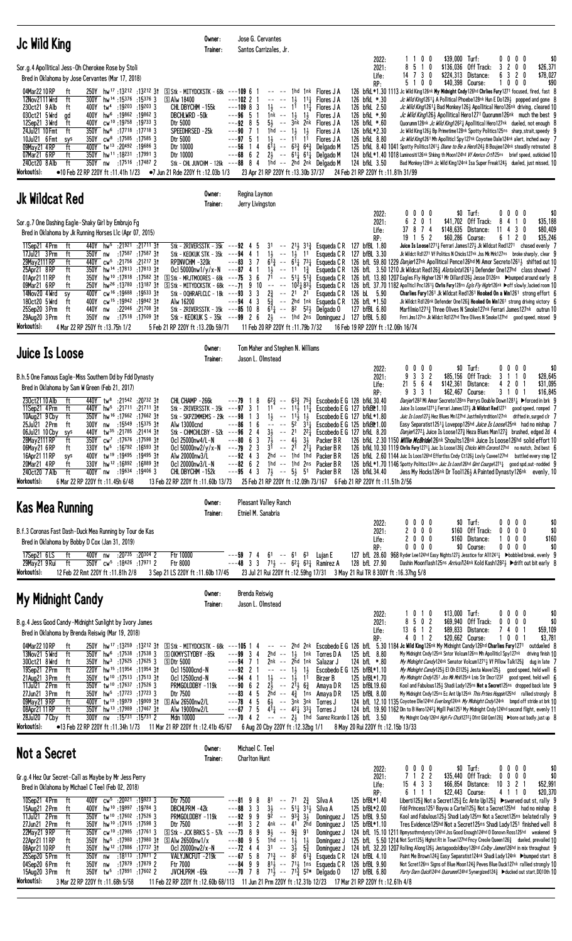| Jc Wild King                                                                                                                                                                                                                                                                                                                                                                                                                                                                                                                                                                                                                                                                                                                                                                                                                                                                                                                                                                                 | Owner:<br>Trainer:                                                                                                                                                                                                                                                      | Jose G. Cervantes<br>Santos Carrizales, Jr.                                                                                                                                                                                                                                                                                                                                                                                                                                                               |                                                                                                                                                                                                                                                                                                                                                                                                                                    |                                                                                                                                                                                              |                                                     |                                                                                   |                                                                                                                                                                                                                                                                                                                                                                                                                                                                                                                                                                                                                                                                                                                                                                                                                                                                                                                                                                                                                                                                                                                                                                        |
|----------------------------------------------------------------------------------------------------------------------------------------------------------------------------------------------------------------------------------------------------------------------------------------------------------------------------------------------------------------------------------------------------------------------------------------------------------------------------------------------------------------------------------------------------------------------------------------------------------------------------------------------------------------------------------------------------------------------------------------------------------------------------------------------------------------------------------------------------------------------------------------------------------------------------------------------------------------------------------------------|-------------------------------------------------------------------------------------------------------------------------------------------------------------------------------------------------------------------------------------------------------------------------|-----------------------------------------------------------------------------------------------------------------------------------------------------------------------------------------------------------------------------------------------------------------------------------------------------------------------------------------------------------------------------------------------------------------------------------------------------------------------------------------------------------|------------------------------------------------------------------------------------------------------------------------------------------------------------------------------------------------------------------------------------------------------------------------------------------------------------------------------------------------------------------------------------------------------------------------------------|----------------------------------------------------------------------------------------------------------------------------------------------------------------------------------------------|-----------------------------------------------------|-----------------------------------------------------------------------------------|------------------------------------------------------------------------------------------------------------------------------------------------------------------------------------------------------------------------------------------------------------------------------------------------------------------------------------------------------------------------------------------------------------------------------------------------------------------------------------------------------------------------------------------------------------------------------------------------------------------------------------------------------------------------------------------------------------------------------------------------------------------------------------------------------------------------------------------------------------------------------------------------------------------------------------------------------------------------------------------------------------------------------------------------------------------------------------------------------------------------------------------------------------------------|
| Sor.g.4 Apollitical Jess-Oh Cherokee Rose by Stoli<br>Bred in Oklahoma by Jose Cervantes (Mar 17, 2018)<br>04Mar2210RP<br>250Y hw <sup>17</sup> :13212 :13212 31<br>ft<br>12Nov2111 Wrd<br>ft<br>$300Y$ hw <sup>14</sup> :15376 :15376 3<br>19203 : 19203 19203 3<br>230ct21 9 Alb<br>ft<br>030ct21 5 Wrd<br>400Y hw <sup>6</sup> :19862 :19862 3<br>ad<br>400Y cw <sup>10</sup> :19758 :19733 3<br>12Sep21 3 Wrd<br>ft<br>350Y hw <sup>6</sup> :17718 :17718 3<br>24Jul21 10 Fmt<br>ft<br>10Jul21 6 Fmt<br>$350Y$ cw <sup>8</sup> :17585 :17585 3<br>sys<br>09May21 4RP<br>400Y tw <sup>13</sup> :20492 :19686 3<br>ft<br>350Y hw <sup>11</sup> :18 <sup>231</sup> :179913<br>07Mar21 6RP<br>ft<br>ft<br>240ct20 8 Alb<br>350Y nw :17516 :17487 2<br>Workout(s):<br>$\bullet$ 10 Feb 22 RP 220Y ft :11.41h 1/23                                                                                                                                                                             | $\boxed{S}$ Stk - MITYDCKSTK - 68k ---109 6 1<br><b>SAW 18400</b><br>CHL DBYCHM -155k<br>DBCHLWRD -50k<br>Dtr 5000<br>SPEEDHRSED -25k<br>Dtr 5000<br>Dtr 10000<br>Dtr 10000<br>$\bullet$ 7 Jun 21 Rde 220Y ft :12.03b 1/3                                               | $\begin{array}{ccc} - & - & - & - \end{array}$<br>$---102$ 2 1<br>$----13$<br>$---109883$<br>$1\bar{n}$ k -- $1\bar{3}$<br>$--96$ 5 1<br>$---92$ 8 5<br>$---90$ 7 1<br>$1hd - - 1\frac{1}{2}$<br>$---97$ 5 1<br>$1\frac{1}{2}$ -- 11 11<br>$---56$ 14<br>$---68$ 6 2 2 $--61\frac{1}{4}$ 6 <sup>1</sup> Delgado M<br>Stk - CHL JUVCHM - 126k ---88 8 4 1hd -- 2hd 2nk Delgado M<br>23 Apr 21 RP 220Y ft: 13.30b 37/37                                                                                     | 1hd 1nk Flores J A<br>$11\frac{1}{2}$ Flores J A<br>$1\frac{1}{2}$ -- 11 $11\frac{1}{4}$ Flores J A<br>$1\frac{1}{2}$<br>Flores J A<br>$5\frac{1}{2}$ -- $3\bar{n}k$ $2\bar{n}k$ Flores JA<br>$1\frac{1}{2}$<br>Flores J A<br>Flores J A<br>$6^{11}$ -- $6^{3}$ $6^{4}$ Delgado M                                                                                                                                                  | 2022:<br>2021:<br>Life:<br>RP:<br>126 bfkL *.30<br>126 bfkL 2.50<br>126 bfkL *.90<br>126 bfkL *.60<br>126 bfkL*2.30<br>126 bfkL 8.80<br>124 bfkL 3.50<br>24 Feb 21 RP 220Y ft : 11.81h 31/99 | 0 <sub>0</sub><br>8510<br>$14$ 7 3 0<br>5100        | \$39,000 Turf:<br>\$136,036 Off Track:<br>\$224,313 Distance:<br>\$40,398 Course: | \$0<br>0000<br>3 2 0 0<br>\$26,371<br>6 3 2 0<br>\$78,027<br>1000<br>\$90<br>126 bfkL *1.30 1113 Jc Wild King126nk My Midnight Cndy126hd Chriles Fury1271 focused, fired, fast 8<br>Jc Wild King12611 A Pollitical Phoebe128nk Hun E Do1291 popped and gone 8<br><i>Jc Wild King</i> 1261 <sub>4</sub> Bad Monkey126 <sub>3</sub> Apollitical Hero126nk driving, cleared 10<br>Jc Wild King126} Apollitical Hero1271 Quorumm126nk much the best 9<br>Quorumm128nk <i>Jc Wild King</i> 12621 Apollitical Hero127nk dueled, not enough 8<br>Jc Wild King126} Bp Primetime128nk Spotty Politics125ns sharp, strait, speedy 9<br>Jc Wild King1261 Mh Apolliticl Spy127nk Coyotee Dale124nk alert, inched away 7<br>125 bfkl 8.40 1041 Spotty Politics 1241, Diane to Be a Herol 24, B Boujee 124 <sup>nk</sup> steadily retreated 8<br>124 bfkL *1.40 1018 Luminositi126nk Shking th Moon124hd Vf Amricn Crt/125ns brief speed, outkicked 10<br>Bad Monkey 128nk Jc Wild King 124nk Isa Super Freak 1243 dueled, just missed, 10                                                                                                                                           |
| <b>Jk Wildcat Red</b>                                                                                                                                                                                                                                                                                                                                                                                                                                                                                                                                                                                                                                                                                                                                                                                                                                                                                                                                                                        | Owner:<br>Trainer:                                                                                                                                                                                                                                                      | Regina Laymon<br>Jerry Livingston                                                                                                                                                                                                                                                                                                                                                                                                                                                                         |                                                                                                                                                                                                                                                                                                                                                                                                                                    |                                                                                                                                                                                              |                                                     |                                                                                   |                                                                                                                                                                                                                                                                                                                                                                                                                                                                                                                                                                                                                                                                                                                                                                                                                                                                                                                                                                                                                                                                                                                                                                        |
| Sor.g.7 One Dashing Eagle-Shaky Girl by Embrujo Fg<br>Bred in Oklahoma by Jk Running Horses L1c (Apr 07, 2015)<br>11Sep21 4 Prm<br>ft<br>440Y hw <sup>5</sup> :21921 :21711 31<br>17Ju121 3 Prm<br>ft<br>350Y nw<br>:17 <sup>587</sup> :17 <sup>587</sup> 3†<br>29May 2111 RP<br>ft<br>440Y cw <sup>5</sup> :21756 :21217 31<br>25Apr21 8RP<br>ft<br>350Y hw <sup>14</sup> :17813:1781331<br>01Apr21 11 RP<br>ft<br>350Y<br>hw <sup>10</sup> :17818:17582 3t<br>09Mar21 6 RP<br>hw <sup>26</sup> :13 <sup>780</sup> :13187.3 <del>1</del><br>ft<br>250Y<br>400Y Cw <sup>16</sup> :19688:19533 31<br>14Nov20 4 Wrd<br>sy<br>cw <sup>15</sup> :19942:1994231<br>180ct20 5 Wrd<br>ft<br>400Y<br>:22046 :21708 31<br>25Sep20 3 Prm<br>ft<br>440Y<br>nw<br>350Y nw<br>:17 <sup>518</sup> :17 <sup>509</sup> 3†<br>29Aug20 3 Prm<br>ft<br>Workout(s):<br>4 Mar 22 RP 250Y ft : 13.75h 1/2                                                                                                          | Stk - 2RIVERSSTK - $35k$ --- $92$ 4 5<br>RPINVCHM-320k<br>Ocl 50000nw1/y/x-N $---87$ 4 1<br>$S$ Stk - MRJTMOORES - 68k ---75 3 6<br>Alw 16200<br>5 Feb 21 RP 220Y ft: 13.20b 59/71                                                                                      | Stk - KEOKUK STK - 35k ---94 4 1 1 $\frac{1}{2}$ -- 1 $\frac{1}{2}$ 11 Esqueda C R<br>$--83$ 3 7<br>Stk - OQHRAFLCLC - 18k ---93 3 3 2 $\frac{3}{4}$ -- 2 <sup>1</sup> 2 <sup>1</sup> Esqueda C R<br>$--94$ 4 3<br>Stk - 2RIVERSSTK - 35k ---85 10 8 6 <sup>1</sup> $\frac{1}{4}$ -- 8 <sup>2</sup> 5 <sup>2</sup> $\frac{1}{2}$ Delgado 0<br>Stk - KEOKUK S - $35k$ --- $99$ 2 6 $2\frac{1}{2}$ -- 1hd 2ns Dominguez J 127 bfBL 5.80<br>11 Feb 20 RP 220Y ft : 11.79b 7/32                               | $31 - 21\frac{1}{2} 31\frac{3}{2}$ Esqueda C R 127 bfBL 1.80<br>$1\frac{1}{2}$ -- 11 $1\frac{3}{4}$ Esqueda C R<br>71 -- $5^{11}$ 5 <sup>13</sup> / <sub>4</sub> Esqueda C R<br>$5\frac{3}{4}$ -- 2hd 1nk Esqueda CR                                                                                                                                                                                                               | 2022:<br>2021:<br>Life:<br>RP:<br>127 bfBL 3.30<br>126 bL 5.90<br>126 bfL *1.50<br>127 bfBL 6.80<br>16 Feb 19 RP 220Y ft: 12.06h 16/74                                                       | $0\ 0\ 0\ 0$<br>201<br>6<br>37 8 7 4<br>1 5 2<br>19 | $$0$ Turf:<br>\$41,702 Off Track:<br>$$148,635$ Distance:<br>\$60,286 Course:     | 0000<br>\$0<br>\$35,188<br>8<br>4 1 0<br>$11$ 4 3 0<br>\$80,409<br>6 1 2 0<br>\$35,246<br>Juice Is Loose12711 Ferrari James1271 Jk Wildcat Red1271 chased evenly 7<br>Jk Wildct Rd1271 Vf Politics N Chicks127nk Jss Mk Mrk127ns broke sharply, clear 9<br>$6^{13}_{4}$ -- $6^{11}_{4}$ 73 <sup>1</sup> Esqueda C R 126 bfl 59.80 1229 <i>Danjer</i> 127 <sup>nk</sup> Apollitical Pence126 <sup>hd</sup> Mi Amor Secreto126 <sup>1</sup> 2 shifted out 10<br>126 bfL 3.50 1210 Jk Wildcat Red1263 Alotalota12613 Defender One127hd class showed 7<br>126 bfL 13.80 1207 Eagles Fly Higher1261 Mr Dillard126 > Jesse D126ns > bumped around early 8<br>[S] Stk - MITYDCKSTK - 68k ---71 9 10 -- -- 10 <sup>2</sup> 4 83} Esqueda CR 126 bfL 37.70 1182 Apoliticl Pnc1261} Chrils Fury128ns Egis Fly Highr126nk >off slowly, lacked room 10<br>Charlies Fury 1261 Jk Wildcat Red1261 Hooked On a Win1261 strong effort 6<br>Jk Wildct Rd126nk Defender One1263 Hooked On Win1261 strong driving victory 6<br>Marfilmio 12713 Three Olives N Smoke 127nk Ferrari James 127nk outrun 10<br>Frrri Jms127ns Jk Wildct Rd127hd Thre Olives N Smoke127hd good speed, missed 9 |
| Juice Is Loose                                                                                                                                                                                                                                                                                                                                                                                                                                                                                                                                                                                                                                                                                                                                                                                                                                                                                                                                                                               | Owner:<br>Trainer:                                                                                                                                                                                                                                                      | Tom Maher and Stephen N. Williams<br>Jason L. Olmstead                                                                                                                                                                                                                                                                                                                                                                                                                                                    |                                                                                                                                                                                                                                                                                                                                                                                                                                    |                                                                                                                                                                                              |                                                     |                                                                                   |                                                                                                                                                                                                                                                                                                                                                                                                                                                                                                                                                                                                                                                                                                                                                                                                                                                                                                                                                                                                                                                                                                                                                                        |
| B.h.5 One Famous Eagle-Miss Southern Dd by Fdd Dynasty<br>Bred in Oklahoma by Sam W Green (Feb 21, 2017)<br>230ct2110 Alb<br>ft<br>440Y tw <sup>8</sup> :21542 :20732 31<br>11Sep21 4 Prm<br>ft<br>440Y hw <sup>5</sup> :21711 :21711 31<br>10Aug21 9 Cby<br>ft<br>350Y hw <sup>16</sup> :17662:1766231<br>:15 <sup>549</sup> :15 <sup>375</sup> 31<br>25Jul21 2 Prm<br>ft<br>300Y nw<br>440Y<br>tw <sup>35</sup> :21785 :21414 31<br>06Jul21 10 Cby<br>sys<br>28May 2111 RP<br>ft<br>350Y cw <sup>7</sup> :17676 :17598 3t<br>330Y tw <sup>5</sup> :16792 :16593 31<br>06May21 6 RP<br>ft<br>400Y tw <sup>19</sup> :19495:1949531<br>16Apr21 11 RP<br>sys<br>330Y hw <sup>12</sup> :16892:16889 31<br>20Mar21 4RP<br>ft<br>:19634 :19406 3<br>240ct20 7 Alb<br>ft<br>400Y nw<br>Workout(s):<br>6 Mar 22 RP 220Y ft: 11.45h 6/48                                                                                                                                                             | CHL CHAMP -266k<br>Stk - 2RIVERSSTK - $35k$ --- $97$ 3 1<br>Stk - SKPZIMMEMS - 29 $k$ ---98 1 3<br>Alw 13000cnd<br>Stk - CHMCHLCBY - 52k $--96$ 2 4<br>Ocl 25000nw4/L-N<br>Alw 20000nw3/L<br>Ocl 20000nw3/L-N<br>CHL DBYCHM -152k<br>13 Feb 22 RP 220Y ft: 11.60b 13/73 | $6^{2}\frac{3}{4}$<br>---79 1<br>-8<br>$1\frac{1}{2}$<br>$---86$ 1 6<br>$---80 6 3$<br>$7\frac{1}{2}$ -- $4\frac{1}{2}$ $3\frac{1}{2}$<br>Ocl 50000nw2/y/x-N ---79 2 3 3 <sup>1</sup> -- 2 <sup>1</sup> 2 <sup>1</sup> Packer B R<br>$---92$ 4 3<br>$---82$ 6 2<br>$7\frac{1}{2}$ -- $5\frac{1}{2}$ 51<br>$---95$ 4 3                                                                                                                                                                                     | $-$ 633 753 Escobedo E G 128 bfkL 30.40<br>11 -- $11\frac{11}{4}$ Escobedo E G 127 bfkB*1.10<br>$-- 11\frac{1}{2}$ 1<br>$   52$ $314$ Escobedo E G 125 bfkB\test1.00<br>$3\frac{1}{2}$ -- 2 <sup>1</sup> 2 <sup>2</sup> $\frac{1}{4}$ Escobedo E G 127 bfkl 8.20<br>Packer B R<br>2hd -- 1hd 1hd<br>Packer B R<br>1hd -- 1hd 2ns Packer BR<br>Packer B R<br>25 Feb 21 RP 220Y ft : 12.09h 73/167 6 Feb 21 RP 220Y ft : 11.51h 2/56 | 2022:<br>2021:<br>Life:<br>RP:<br>Escobedo E G 127 bfkL*1.80<br>126 bfkL 34.40                                                                                                               | $0\,0\,0\,0$<br>3 3 2<br>9<br>21 5 6 4<br>9 3 3 1   | \$0 Turf:<br>\$85,156 Off Track:<br>$$142,361$ Distance:<br>\$62,467 Course:      | \$0<br>0000<br>3 1 1 0<br>\$28,645<br>420<br>\$31,095<br>-1<br>3 1 0 1<br>\$16,845<br>Danjer1282 Mi Amor Secreto128ns Perrys Double Down12814 ▶ forced in brk 9<br>Juice Is Loose1271 <sub>2</sub> Ferrari James1273 Jk Wildcat Red1271 good speed, romped 7<br>Juic Is Loos1273 Hez Blues Mn127hd Justfmilytrdition127nk drifted in, surged clr 7<br>Easy Separatist12511 Lovepop125hd Juice Is Loose125nk had no mishap 7<br><i>Danjer</i> 127 <sup>2</sup> $\frac{1}{4}$ Juice Is Loose127 $\frac{3}{4}$ Heza Blues Man127 $\frac{3}{4}$ brushed, edged 2d 4<br>126 bfkL 2.30 1150 <i>Willie McBride</i> 126nk Shoults128nk Juice Is Loose126hd solid effort 10<br>126 bfkL 10.30 1119 Chrlis Fury 1271 Unic Is Loose 126 3 Chicks With Corons127hd no match, 2nd best 6<br>126 bfkl 2.60 1144 Juic Is Loos126hd Effortlss Cndy Ct126 <sup>3</sup> Lovly Cuvee127hd battled every step 12<br>126 bfkL *1.70 1146 Spotty Politics124ns Juic Is Loos126hd Gint Courge1271 <sub>4</sub> good spd, out-nodded 9<br>Jess My Hocks126nk Dr Tool1264 A Painted Dynasty126nk evenly, 10                                                                                     |
| Kas Mea Running                                                                                                                                                                                                                                                                                                                                                                                                                                                                                                                                                                                                                                                                                                                                                                                                                                                                                                                                                                              | Owner:<br>Trainer:                                                                                                                                                                                                                                                      | Pleasant Valley Ranch<br>Etniel M. Sanabria                                                                                                                                                                                                                                                                                                                                                                                                                                                               |                                                                                                                                                                                                                                                                                                                                                                                                                                    |                                                                                                                                                                                              |                                                     |                                                                                   |                                                                                                                                                                                                                                                                                                                                                                                                                                                                                                                                                                                                                                                                                                                                                                                                                                                                                                                                                                                                                                                                                                                                                                        |
| B.f.3 Coronas Fast Dash-Duck Mea Running by Tour de Kas<br>Bred in Oklahoma by Bobby D Cox (Jan 31, 2019)<br>400Y nw<br>:20 <sup>735</sup> :20 <sup>304</sup> 2<br>17Sep21 6LS<br>ft<br>350Y cw <sup>5</sup> :18426 :17971 2<br>29May21 9 Rui<br>ft<br>Workout(s):<br>12 Feb 22 Rmt 220Y ft: 11.81h 2/8                                                                                                                                                                                                                                                                                                                                                                                                                                                                                                                                                                                                                                                                                      | Ftr 10000<br>Ftr 8000<br>3 Sep 21 LS 220Y ft: 11.60b 17/45                                                                                                                                                                                                              | $---59$ 7 4<br>$- -48$ 3 3 7 <sup>1</sup> <sub>2</sub> $- -62$ <sub>4</sub> 63 <sub>4</sub> Ramirez A                                                                                                                                                                                                                                                                                                                                                                                                     | $61 - 61 63$ Lujan E<br>23 Jul 21 Rui 220Y ft : 12.59hg 17/31 3 May 21 Rui TR 8 300Y ft : 16.37hg 5/8                                                                                                                                                                                                                                                                                                                              | 2022:<br>2021:<br>Life:<br>RP:<br>128 bfL 27.90                                                                                                                                              | 0<br>$0\,0\,0$<br>2000<br>2000<br>$0\ 0\ 0\ 0$      | $$0$ Turf:<br>\$160 Off Track:<br>\$160 Distance:<br>\$0 Course:                  | $0\,$ $0\,$ $0\,$ $0\,$<br>\$0<br>$0\ 0\ 0$<br>0<br>\$0<br>1000<br>\$160<br>0000<br>\$0<br>127 bfL 28.60 968 Ryder Lee124hd Easy Nights127} Jesstice for All1241} ▶bobbled break, evenly 9<br>Dashin Moonflash125ns Arriva/124nk Kold Kash1282 3 ▶ drift out bit early 8                                                                                                                                                                                                                                                                                                                                                                                                                                                                                                                                                                                                                                                                                                                                                                                                                                                                                               |
| My Midnight Candy                                                                                                                                                                                                                                                                                                                                                                                                                                                                                                                                                                                                                                                                                                                                                                                                                                                                                                                                                                            | Owner:<br>Trainer:                                                                                                                                                                                                                                                      | Brenda Reiswig<br>Jason L. Olmstead                                                                                                                                                                                                                                                                                                                                                                                                                                                                       |                                                                                                                                                                                                                                                                                                                                                                                                                                    |                                                                                                                                                                                              | 1010                                                | \$13,000 Turf:                                                                    | 0000<br>\$0                                                                                                                                                                                                                                                                                                                                                                                                                                                                                                                                                                                                                                                                                                                                                                                                                                                                                                                                                                                                                                                                                                                                                            |
| B.g.4 Jess Good Candy-Midnight Sunlight by Ivory James<br>Bred in Oklahoma by Brenda Reiswig (Mar 19, 2018)<br>04Mar2210RP<br>250Y hw <sup>17</sup> :13 <sup>259</sup> :13 <sup>212</sup> 31<br>ft<br>13Nov21 5 Wrd<br>ft<br>$350Y$ hw <sup>6</sup> :17538 :17538 3<br>hw <sup>3</sup> :17625 :17625 3<br>300ct21 8 Wrd<br>350Y<br>ft<br>19Sep21 2 Prm<br>ft<br>220Y hw <sup>15</sup> :11954:1195431<br>tw <sup>10</sup> :17513 :17513 3t<br>21Aug21 3 Prm<br>350Y<br>ft<br>350Y tw <sup>10</sup> :17637:17526 3<br>11Jul21 2Prm<br>ft<br>27Jun21 3 Prm<br>350Y hw <sup>5</sup> :17723 :17723 3<br>ft<br>09May21 9 RP<br>ft<br>400Y tw <sup>13</sup> :19979:1990931<br>350Y hw <sup>13</sup> :17989 :17467 31<br>08Apr21 11 RP<br>ft<br>28Jul20 7 Cby<br>ft<br>300Y<br>nw<br>:15 <sup>731</sup> :15 <sup>731</sup> 2<br>Workout(s):<br>$\bullet$ 13 Feb 22 RP 220Y ft :11.34h 1/73                                                                                                           | $\boxed{S}$ Stk - MITYDCKSTK - 68k ---105 1 4<br><b>SOKMYSTYDBY-85k</b><br>5Dtr 5000<br>Ocl 15000cnd-N<br>Ocl 12500cnd-N<br>PRMGOLDDBY-119k<br>Dtr 7500<br>$\boxdot$ Alw 26500nw2/L<br>Alw 19000nw2/L<br>Mdn 10000<br>11 Mar 21 RP 220Y ft :12.41b 45/67                | $---99334$<br>$2hd - - 13$<br>$---94$ 7 1<br>$---92$ 2 1<br>$-- -1\frac{1}{2}$<br>$1\frac{1}{2}$<br>---94 4<br>$2\frac{1}{2}$ -- $2\overline{1}$ $6\frac{3}{4}$<br>$---90 6 2$<br>$--83$ 4 5<br>$2hd - 4\frac{3}{4}$ 1 ns<br>4 5<br>---78<br>$---67$ 7 5<br>$---70$ 4 2<br>6 Aug 20 Cby 220Y ft: 12.32bg 1/1                                                                                                                                                                                              | -- -- 2hd 2nk Escobedo E G 126 bfL 5.30 1184 Jc Wild King126nk My Midnight Candy126hd Charlies Fury1271<br>1nk<br>Torres D A<br>2nk -- 2hd 1nk<br>Salazar J<br>$1\frac{1}{2}$<br>$-1\overline{3}$ 1 <sup>1</sup><br>Birzer B<br>Amaya D R<br>Amaya D R<br>$6\frac{1}{2}$ -- $3nk$ $3nk$<br>Torres J<br>$4^{11}$ -- $4^{21}$ $3^{31}$ Torres J<br>$--- 2\frac{1}{2}$ 1hd Suarez Ricardo I 126 bfL 3.50                              | 2022:<br>2021:<br>Life:<br>RP:<br>125 bfL 8.80<br>124 bfL *.80<br>Escobedo E G 125 bfBL*1.10<br>125 bfBL*1.70<br>125 bfBL19.60<br>125 bfBL 8.00<br>8 May 20 Rui 220Y ft: 12.15b 13/33        | 8 5 0 2<br>13 6 1 2<br>4012                         | \$69,940 Off Track:<br>\$89,833 Distance:<br>\$20,662 Course:                     | $0\ 0\ 0\ 0$<br>\$0<br>\$59,109<br>7401<br>1001<br>\$3,781<br>outdueled 8<br>My Midnight Cndy 125nk Sntor Volcum126ns Mh Apolliticl Spy127nk driving finish 10<br>My Midnight Candy124nk Senator Volcum12713 Vf Pillow Talk1253 dug in late 7<br>My Midnight Candy125} El Oh E1125} Jesta Wave125} good speed, held well 6<br>My Midnight Cndy1251 Jss Mk Mrk125nk Lnis Str Dncr1232 good speed, held well 6<br>Kool and Fabulous125} Shadi Lady125ns Not a Secret125ns dropped back late 9<br>My Midnight Cndy 125ns Ec Ant Up125nk This Prties Hoppin125hd rallied strongly 8<br>124 bfl. 12.10 1135 Coyotee Dle124hd Everlong124nk My Midnight Cndy124nk bmpd off stride at brk 10<br>124 bfL 19.90 1162 Din to B Hero1242 } Mgill Pek1251 My Midnight Cndy124hd second flight, evenly 11<br>My Mdnght Cndy126hd <i>Hgh Fv Chck</i> 127 <sup>2</sup> {bfnt Gld Qen128 <sup>3</sup> ▶bore out badly, just up 8                                                                                                                                                                                                                                                       |
| <b>Not a Secret</b>                                                                                                                                                                                                                                                                                                                                                                                                                                                                                                                                                                                                                                                                                                                                                                                                                                                                                                                                                                          | Owner:<br>Trainer:                                                                                                                                                                                                                                                      | Michael C. Teel<br><b>Charlton Hunt</b>                                                                                                                                                                                                                                                                                                                                                                                                                                                                   |                                                                                                                                                                                                                                                                                                                                                                                                                                    |                                                                                                                                                                                              |                                                     |                                                                                   |                                                                                                                                                                                                                                                                                                                                                                                                                                                                                                                                                                                                                                                                                                                                                                                                                                                                                                                                                                                                                                                                                                                                                                        |
| Gr.g.4 Hez Our Secret-Call as Maybe by Mr Jess Perry<br>Bred in Oklahoma by Michael C Teel (Feb 02, 2018)<br>10Sep21 4Prm<br>ft<br>400Y cw <sup>5</sup> :20 <sup>021</sup> :19923 3<br>15Aug21 2 Prm<br>400Y hw <sup>10</sup> :19997:197843<br>ft<br>11Jul21 2Prm<br>ft<br>350Y tw <sup>10</sup> :17602:175263<br>hw <sup>10</sup> :17615:175983<br>27Jun21 2 Prm<br>ft<br>350Y<br>22May21 9RP<br>ft<br>350Y cw <sup>10</sup> :17985 :17761 3<br>22Apr21 11 RP<br>hw <sup>5</sup> :17980 :17980 3t<br>ft<br>350Y<br>hw <sup>12</sup> :17886:1773731<br>08Apr21 10 RP<br>ft<br>350Y<br>ft<br>350Y<br>:18113 :17871 2<br>25Sep20 5 Prm<br>nw<br>:17879 :17879 2<br>04Sep20 6 Prm<br>ft<br>350Y<br>nw<br>15Aug20 3Prm ft 350Y tw <sup>5</sup> :17891 :17602 2 JVCHLPRM -65k ---70 7 8 71 $\frac{1}{2}$ -- 71 $\frac{5}{4}$ 52* Delgado 0 127 bfBL 6.80 <i>Purty Darn Quick</i> 124hd Quorumm124hd Synergized124≩ Deucked out start,DQ10th 10<br>Workout(s):<br>3 Mar 22 RP 220Y ft: 11.68h 5/58 | Dtr 7500<br>DBCHLPRM -42k<br>PRMGOLDDBY-119k<br>Dtr 7500<br>$\boxed{\text{S}}$ Stk - JCK BRKS S - 57 $k$<br>$\boxed{S}$ Alw 26500nw1/x<br>Oc1 20000nw2/x-N<br>VALYJNCFUT -219k<br>Ftr 7000                                                                              | 81<br>$---819$<br>8<br>$\sim$ $\sim$<br>$3\frac{1}{2}$<br>$---88$ 3 3<br>$---92999$<br>$92 - 93\frac{3}{4}3\frac{1}{2}$<br>$---91 \quad 3 \quad 2$<br>4nk<br>9<br>$9\frac{1}{2}$ -- $9\frac{3}{4}$<br>---73<br>8<br>5<br>$- - 1\frac{1}{2}$<br>---80<br>9<br>1hd<br>$--3\frac{1}{2}$<br>---72<br>$\overline{4}$<br>3 <sup>1</sup><br>4<br>$71\frac{3}{7}$<br>$---67$ 5 8<br>$---849$<br>9<br>811<br>11 Feb 22 RP 220Y ft:12.60b 68/113 11 Jun 21 Prm 220Y ft:12.31b 12/23 17 Mar 21 RP 220Y ft:12.61h 4/8 | $2\frac{3}{4}$<br>71<br>Silva A<br>$--\ 51\frac{1}{4}31\frac{1}{2}$<br>Silva A<br>Dominguez J<br>-- 41 2hd<br>Dominguez J<br>91<br>Dominguez J<br>$1\frac{1}{2}$<br>Dominguez J<br>$5\frac{3}{4}$<br>Dominguez J<br>$-$ 8 <sup>2</sup> 6 <sup>13</sup> / <sub>4</sub> Esqueda C R<br>$--$ 71 $\frac{1}{2}$ 1ns Esqueda C R 126 bfBL 9.90                                                                                           | 2022:<br>2021:<br>Life:<br>RP:<br>125 bfBL*1.40<br>125 bfBL*2.00<br>125 bfBL 9.50<br>125 bfBL*1.10<br>124 bfBL 4.10                                                                          | $0\ 0\ 0\ 0$<br>7122<br>$15$ 4 3 3<br>6 1 1 1       | \$0 Turf:<br>\$35,440 Off Track:<br>\$66,854 Distance:<br>\$22,443 Course:        | 0000<br>\$0<br>$0\ 0\ 0\ 0$<br>\$0<br>\$52,991<br>10 3 2 1<br>4 1 1 0<br>\$20,370<br>Liberti125 $\frac{3}{4}$ Not a Secret125 $\frac{3}{4}$ Ec Ante Up125 $\frac{3}{4}$ $\blacktriangleright$ swerved out st, rally 9<br>Fdd Princess1251 Bayou a Cartel125} Not a Secret125hd had no mishap 8<br>Kool and Fabulous1253 Shadi Lady125ns Not a Secret125ns belated rally 9<br>Tres Evidence125hd Not a Secret125ns Shadi Lady1251 finished well 8<br>124 bfL 15.10 1211 Bpmysothrndynsty124hd Jss Good Enough124hd 0 Donovn Ross125hd weakened 9<br>125 bfl. 5.50 1214 Not Scrt125} Highst Rt in Town127hd Fncy Creole Queen126 <sup>3</sup> dueled, prevailed 10<br>124 bfL 32.20 1207 Rolling Along1263 Jestagoodoldboy126hd Colby James126hd in mix throughout 9<br>Paint Me Brown1243 Easy Separatist124nk Shadi Lady124nk ▶bumped start 8<br>Not Scret126ns Signs of Blue Moon1243 Peves Blue Duck127nk rallied strongly 10                                                                                                                                                                                                                                        |